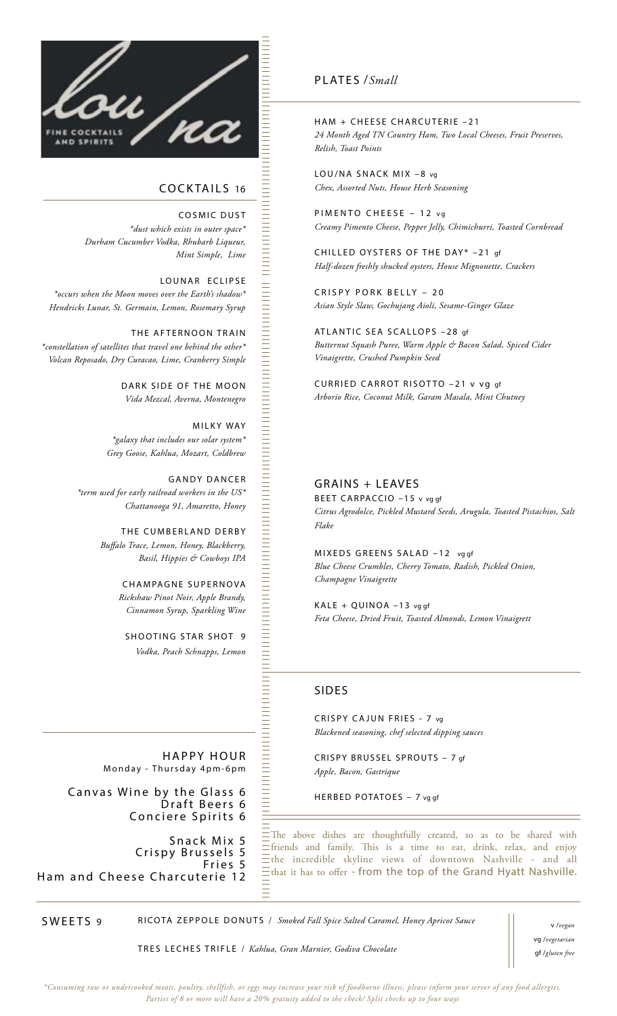

## COCKTAILS 16

COSMIC DUST *\*dust which exists in outer space\* Durham Cucumber Vodka, Rhubarb Liqueur, Mint Simple, Lime*

#### LOUNAR ECLIPSE

*\*occurs when the Moon moves over the Earth's shadow\* Hendricks Lunar, St. Germain, Lemon, Rosemary Syrup*

THE AFTERNOON TRAIN *\*constellation of satellites that travel one behind the other\* Volcan Reposado, Dry Curacao, Lime, Cranberry Simple*

> DARK SIDE OF THE MOON *Vida Mezcal, Averna, Montenegro*

MILKY WAY *\*galaxy that includes our solar system\* Grey Goose, Kahlua, Mozart, Coldbrew*

GANDY DANCER *\*term used for early railroad workers in the US\* Chattanooga 91, Amaretto, Honey*

> THE CUMBERLAND DERBY *Buffalo Trace, Lemon, Honey, Blackberry, Basil, Hippies & Cowboys IPA*

> > CHAMPAGNE SUPERNOVA *Rickshaw Pinot Noir, Apple Brandy, Cinnamon Syrup, Sparkling Wine*

SHOOTING STAR SHOT 9 *Vodka, Peach Schnapps, Lemon*

HAPPY HOUR Monday - Thursday 4pm-6pm

Canvas Wine by the Glass 6 Draft Beers 6 Conciere Spirits 6

Snack Mix 5 Crispy Brussels 5 Fries 5 Ham and Cheese Charcuterie 12

### PLATES /*Small*

HAM + CHEESE CHARCUTERIE –21 *24 Month Aged TN Country Ham, Two Local Cheeses, Fruit Preserves, Relish, Toast Points*

LOU/NA SNACK MIX -8 vg *Chex, Assorted Nuts, House Herb Seasoning*

PIMENTO CHEESE - 12 vg *Creamy Pimento Cheese, Pepper Jelly, Chimichurri, Toasted Cornbread*

CHILLED OYSTERS OF THE DAY\* –21 gf *Half-dozen freshly shucked oysters, House Mignonette, Crackers*

CRISPY PORK BELLY – 20 *Asian Style Slaw, Gochujang Aioli, Sesame-Ginger Glaze*

ATLANTIC SEA SCALLOPS –28 gf *Butternut Squash Puree, Warm Apple & Bacon Salad, Spiced Cider Vinaigrette, Crushed Pumpkin Seed*

CURRIED CARROT RISOTTO –21 v vg gf *Arborio Rice, Coconut Milk, Garam Masala, Mint Chutney*

### GRAINS + LEAVES

BEET CARPACCIO –15 v vg gf *Citrus Agrodolce, Pickled Mustard Seeds, Arugula, Toasted Pistachios, Salt Flake*

MIXEDS GREENS SALAD –12 vg gf *Blue Cheese Crumbles, Cherry Tomato, Radish, Pickled Onion, Champagne Vinaigrette* 

KALE + QUINOA –13 vg gf *Feta Cheese, Dried Fruit, Toasted Almonds, Lemon Vinaigrett*

## SIDES

CRISPY CAJUN FRIES - 7 vg *Blackened seasoning, chef selected dipping sauces*

CRISPY BRUSSEL SPROUTS – 7 gf *Apple, Bacon, Gastrique*

HERBED POTATOES – 7 vg gf

The above dishes are thoughtfully created, so as to be shared with friends and family. This is a time to eat, drink, relax, and enjoy the incredible skyline views of downtown Nashville - and all that it has to offer - from the top of the Grand Hyatt Nashville.

SWEETS 9

RICOTA ZEPPOLE DONUTS / *Smoked Fall Spice Salted Caramel, Honey Apricot Sauce*

TRES LECHES TRIFLE / *Kahlua, Gran Marnier, Godiva Chocolate*

v /*vegan*  vg /*vegetarian*  gf /*gluten free*

*\*Consuming raw or undercooked meats, poultry, shellfish, or eggs may increase your risk of foodborne illness, please inform your server of any food allergies. Parties of 8 or more will have a 20% gratuity added to the check/ Split checks up to four ways*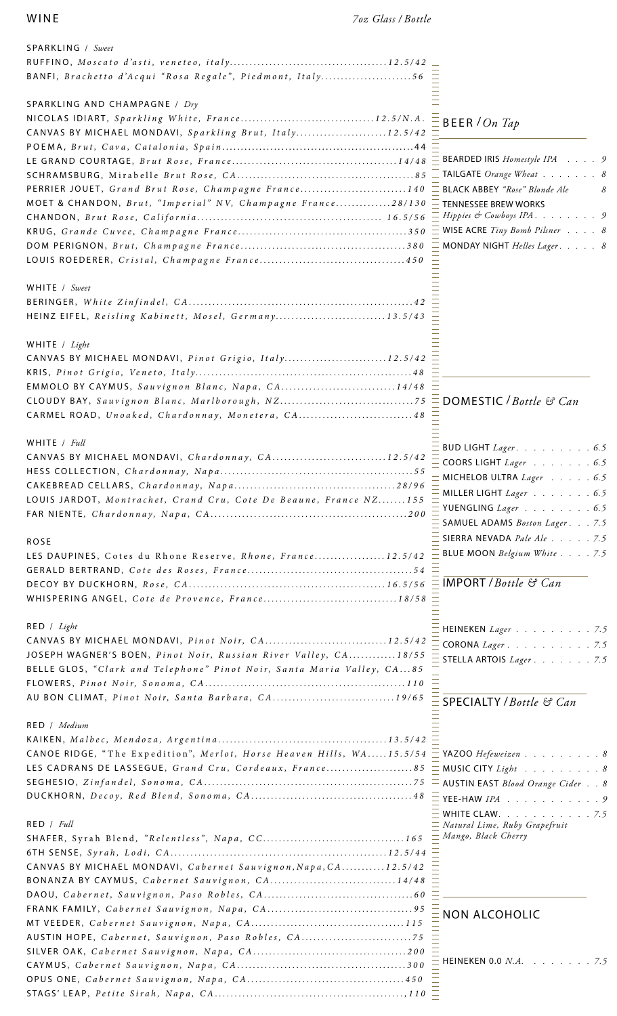| SPARKLING / Sweet                                                                     |               |
|---------------------------------------------------------------------------------------|---------------|
|                                                                                       |               |
| BANFI, Brachetto d'Acqui "Rosa Regale", Piedmont, Italy56                             |               |
|                                                                                       |               |
| SPARKLING AND CHAMPAGNE / Dry                                                         |               |
|                                                                                       |               |
| CANVAS BY MICHAEL MONDAVI, Sparkling Brut, Italy12.5/42                               |               |
|                                                                                       |               |
|                                                                                       |               |
|                                                                                       |               |
| PERRIER JOUET, Grand Brut Rose, Champagne France140 = BLAC                            |               |
|                                                                                       |               |
| MOET & CHANDON, Brut, "Imperial" NV, Champagne France28/130 $\equiv$ TENN             |               |
|                                                                                       |               |
|                                                                                       |               |
|                                                                                       | $\equiv$ MON  |
|                                                                                       |               |
|                                                                                       |               |
| WHITE / Sweet                                                                         |               |
|                                                                                       |               |
| HEINZ EIFEL, Reisling Kabinett, Mosel, Germany13.5/43                                 |               |
|                                                                                       |               |
| WHITE / Light                                                                         |               |
|                                                                                       |               |
| CANVAS BY MICHAEL MONDAVI, Pinot Grigio, Italy12.5/42                                 |               |
|                                                                                       |               |
| EMMOLO BY CAYMUS, Sauvignon Blanc, Napa, CA14/48                                      |               |
|                                                                                       |               |
| CARMEL ROAD, Unoaked, Chardonnay, Monetera, CA48                                      |               |
|                                                                                       |               |
| WHITE $/$ <i>Full</i>                                                                 | $=$ BUD       |
| CANVAS BY MICHAEL MONDAVI, Chardonnay, CA12.5/42                                      | $\equiv$ coo  |
|                                                                                       | $=$ MICI      |
|                                                                                       |               |
| LOUIS JARDOT, Montrachet, Crand Cru, Cote De Beaune, France NZ155                     | = MILL        |
|                                                                                       | E YUEI        |
|                                                                                       | SAM           |
|                                                                                       | SIER          |
| <b>ROSE</b>                                                                           | $=$ BLUI      |
| LES DAUPINES, Cotes du Rhone Reserve, Rhone, France12.5/42                            |               |
|                                                                                       |               |
|                                                                                       | <b>IMP</b>    |
| WHISPERING ANGEL, Cote de Provence, France18/58                                       |               |
|                                                                                       |               |
| RED / Light                                                                           | <b>HEIN</b>   |
| CANVAS BY MICHAEL MONDAVI, Pinot Noir, CA12.5/42                                      | $\equiv$ COR  |
| JOSEPH WAGNER'S BOEN, Pinot Noir, Russian River Valley, CA18/55                       | <b>STEL</b>   |
| BELLE GLOS, "Clark and Telephone" Pinot Noir, Santa Maria Valley, CA85                |               |
|                                                                                       |               |
| AU BON CLIMAT, Pinot Noir, Santa Barbara, CA19/65                                     |               |
|                                                                                       | <b>SPE</b>    |
| RED / Medium                                                                          |               |
|                                                                                       |               |
|                                                                                       |               |
| CANOE RIDGE, "The Expedition", Merlot, Horse Heaven Hills, $WA$ 15.5/54 $\equiv$ YAZ( |               |
| LES CADRANS DE LASSEGUE, Grand Cru, Cordeaux, France85 = MUS                          |               |
|                                                                                       |               |
|                                                                                       | $\equiv$ YEE- |
|                                                                                       | <b>WHI</b>    |
| RED / Full                                                                            | Natu          |
|                                                                                       | – Man         |
|                                                                                       |               |
| CANVAS BY MICHAEL MONDAVI, Cabernet Sauvignon, Napa, CA12.5/42                        |               |
| BONANZA BY CAYMUS, Cabernet Sauvignon, CA14/48                                        |               |
|                                                                                       |               |
|                                                                                       |               |
|                                                                                       | <b>NO</b>     |
|                                                                                       |               |
| AUSTIN HOPE, Cabernet, Sauvignon, Paso Robles, CA75                                   |               |
|                                                                                       |               |
|                                                                                       |               |
|                                                                                       |               |
|                                                                                       |               |

## BEER /*On Tap*

| $=$ BEARDED IRIS <i>Homestyle IPA</i> 9            |  |  |   |
|----------------------------------------------------|--|--|---|
| $\overline{\phantom{a}}$ TAILGATE Orange Wheat 8   |  |  |   |
| = BLACK ABBEY "Rose" Blonde Ale                    |  |  | 8 |
| $\_$ TENNESSEE BREW WORKS                          |  |  |   |
| $=$ Hippies & Cowboys IPA $\ldots \ldots \ldots 9$ |  |  |   |
| $\equiv$ WISE ACRE Tiny Bomb Pilsner $\ldots$ 8    |  |  |   |
| $=$ MONDAY NIGHT Helles Lager. 8                   |  |  |   |

## **MESTIC** */ Bottle* & *Can*

| $\overline{\overline{\phantom{a}}}$ BUD LIGHT <i>Lager</i> . 6.5 |  |  |
|------------------------------------------------------------------|--|--|
| $=$ COORS LIGHT <i>Lager</i> 6.5                                 |  |  |
| $\equiv$ MICHELOB ULTRA <i>Lager</i> 6.5                         |  |  |
| $=$ MILLER LIGHT <i>Lager</i> 6.5                                |  |  |
| $\overline{\phantom{a}}$ YUENGLING <i>Lager</i> 6.5              |  |  |
| $=$ SAMUEL ADAMS <i>Boston Lager</i> 7.5                         |  |  |
| $\equiv$ SIERRA NEVADA Pale Ale 7.5                              |  |  |
| $=$ BLUE MOON <i>Belgium White</i> 7.5                           |  |  |
|                                                                  |  |  |

# IMPORT /*Bottle & Can*

| <b>HEINEKEN</b> <i>Lager</i> 7.5  |  |  |  |  |
|-----------------------------------|--|--|--|--|
| CORONA Lager. 7.5                 |  |  |  |  |
| STELLA ARTOIS $Lager :  :  : 7.5$ |  |  |  |  |

## SPECIALTY /*Bottle & Can*

| $\overline{\phantom{a}}$ YAZOO Hefeweizen8                       |
|------------------------------------------------------------------|
| $=$ MUSIC CITY <i>Light</i> 8                                    |
| $\overline{\phantom{a}}$ AUSTIN EAST <i>Blood Orange Cider</i> 8 |
| $=$ YEE-HAW $IPA$ 9                                              |
| WHITE CLAW. $\ldots$ 7.5                                         |
|                                                                  |
|                                                                  |
|                                                                  |

## N ALCOHOLIC

**NEKEN 0.0** *N.A.* . . . . . . . 7.5